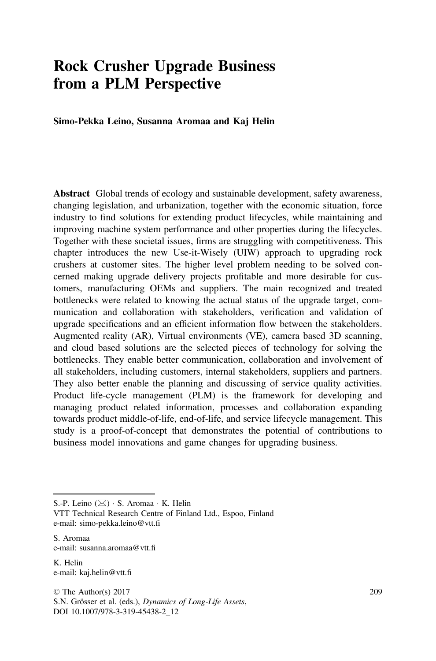# Rock Crusher Upgrade Business from a PLM Perspective

Simo-Pekka Leino, Susanna Aromaa and Kaj Helin

Abstract Global trends of ecology and sustainable development, safety awareness, changing legislation, and urbanization, together with the economic situation, force industry to find solutions for extending product lifecycles, while maintaining and improving machine system performance and other properties during the lifecycles. Together with these societal issues, firms are struggling with competitiveness. This chapter introduces the new Use-it-Wisely (UIW) approach to upgrading rock crushers at customer sites. The higher level problem needing to be solved concerned making upgrade delivery projects profitable and more desirable for customers, manufacturing OEMs and suppliers. The main recognized and treated bottlenecks were related to knowing the actual status of the upgrade target, communication and collaboration with stakeholders, verification and validation of upgrade specifications and an efficient information flow between the stakeholders. Augmented reality (AR), Virtual environments (VE), camera based 3D scanning, and cloud based solutions are the selected pieces of technology for solving the bottlenecks. They enable better communication, collaboration and involvement of all stakeholders, including customers, internal stakeholders, suppliers and partners. They also better enable the planning and discussing of service quality activities. Product life-cycle management (PLM) is the framework for developing and managing product related information, processes and collaboration expanding towards product middle-of-life, end-of-life, and service lifecycle management. This study is a proof-of-concept that demonstrates the potential of contributions to business model innovations and game changes for upgrading business.

S.-P. Leino  $(\boxtimes) \cdot$  S. Aromaa  $\cdot$  K. Helin

VTT Technical Research Centre of Finland Ltd., Espoo, Finland e-mail: simo-pekka.leino@vtt.fi

S. Aromaa e-mail: susanna.aromaa@vtt.fi

K. Helin e-mail: kaj.helin@vtt.fi

© The Author(s) 2017 S.N. Grösser et al. (eds.), Dynamics of Long-Life Assets, DOI 10.1007/978-3-319-45438-2\_12

209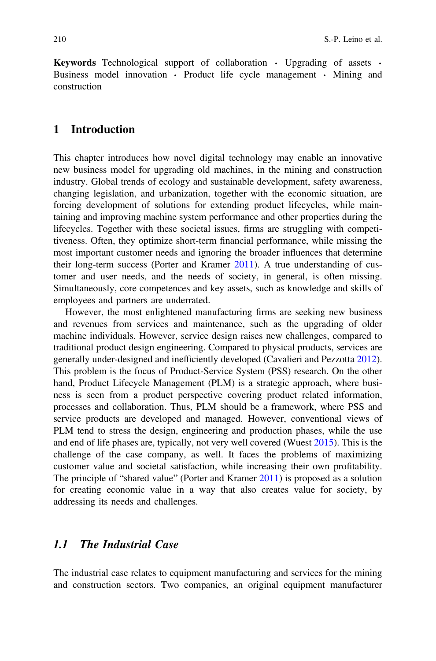**Keywords** Technological support of collaboration  $\cdot$  Upgrading of assets  $\cdot$  Business model innovation  $\cdot$  Product life cycle management  $\cdot$  Mining and construction

## 1 Introduction

This chapter introduces how novel digital technology may enable an innovative new business model for upgrading old machines, in the mining and construction industry. Global trends of ecology and sustainable development, safety awareness, changing legislation, and urbanization, together with the economic situation, are forcing development of solutions for extending product lifecycles, while maintaining and improving machine system performance and other properties during the lifecycles. Together with these societal issues, firms are struggling with competitiveness. Often, they optimize short-term financial performance, while missing the most important customer needs and ignoring the broader influences that determine their long-term success (Porter and Kramer [2011](#page-22-0)). A true understanding of customer and user needs, and the needs of society, in general, is often missing. Simultaneously, core competences and key assets, such as knowledge and skills of employees and partners are underrated.

However, the most enlightened manufacturing firms are seeking new business and revenues from services and maintenance, such as the upgrading of older machine individuals. However, service design raises new challenges, compared to traditional product design engineering. Compared to physical products, services are generally under-designed and inefficiently developed (Cavalieri and Pezzotta [2012\)](#page-21-0). This problem is the focus of Product-Service System (PSS) research. On the other hand, Product Lifecycle Management (PLM) is a strategic approach, where business is seen from a product perspective covering product related information, processes and collaboration. Thus, PLM should be a framework, where PSS and service products are developed and managed. However, conventional views of PLM tend to stress the design, engineering and production phases, while the use and end of life phases are, typically, not very well covered (Wuest [2015\)](#page-23-0). This is the challenge of the case company, as well. It faces the problems of maximizing customer value and societal satisfaction, while increasing their own profitability. The principle of "shared value" (Porter and Kramer [2011](#page-22-0)) is proposed as a solution for creating economic value in a way that also creates value for society, by addressing its needs and challenges.

## 1.1 The Industrial Case

The industrial case relates to equipment manufacturing and services for the mining and construction sectors. Two companies, an original equipment manufacturer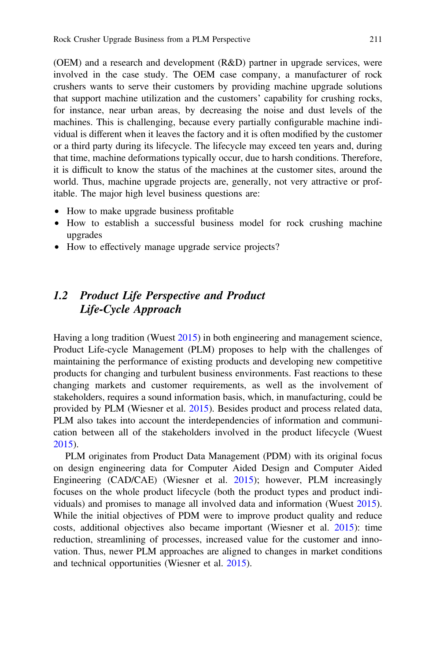(OEM) and a research and development (R&D) partner in upgrade services, were involved in the case study. The OEM case company, a manufacturer of rock crushers wants to serve their customers by providing machine upgrade solutions that support machine utilization and the customers' capability for crushing rocks, for instance, near urban areas, by decreasing the noise and dust levels of the machines. This is challenging, because every partially configurable machine individual is different when it leaves the factory and it is often modified by the customer or a third party during its lifecycle. The lifecycle may exceed ten years and, during that time, machine deformations typically occur, due to harsh conditions. Therefore, it is difficult to know the status of the machines at the customer sites, around the world. Thus, machine upgrade projects are, generally, not very attractive or profitable. The major high level business questions are:

- How to make upgrade business profitable
- How to establish a successful business model for rock crushing machine upgrades
- How to effectively manage upgrade service projects?

# 1.2 Product Life Perspective and Product Life-Cycle Approach

Having a long tradition (Wuest [2015](#page-23-0)) in both engineering and management science, Product Life-cycle Management (PLM) proposes to help with the challenges of maintaining the performance of existing products and developing new competitive products for changing and turbulent business environments. Fast reactions to these changing markets and customer requirements, as well as the involvement of stakeholders, requires a sound information basis, which, in manufacturing, could be provided by PLM (Wiesner et al. [2015\)](#page-22-0). Besides product and process related data, PLM also takes into account the interdependencies of information and communication between all of the stakeholders involved in the product lifecycle (Wuest [2015\)](#page-23-0).

PLM originates from Product Data Management (PDM) with its original focus on design engineering data for Computer Aided Design and Computer Aided Engineering (CAD/CAE) (Wiesner et al. [2015\)](#page-22-0); however, PLM increasingly focuses on the whole product lifecycle (both the product types and product individuals) and promises to manage all involved data and information (Wuest [2015\)](#page-23-0). While the initial objectives of PDM were to improve product quality and reduce costs, additional objectives also became important (Wiesner et al. [2015](#page-22-0)): time reduction, streamlining of processes, increased value for the customer and innovation. Thus, newer PLM approaches are aligned to changes in market conditions and technical opportunities (Wiesner et al. [2015\)](#page-22-0).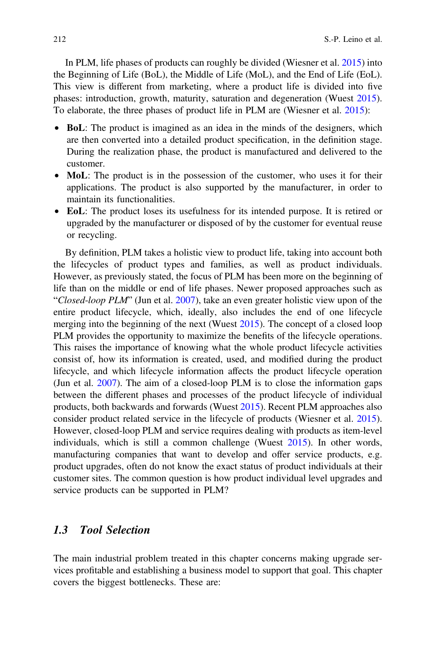In PLM, life phases of products can roughly be divided (Wiesner et al. [2015\)](#page-22-0) into the Beginning of Life (BoL), the Middle of Life (MoL), and the End of Life (EoL). This view is different from marketing, where a product life is divided into five phases: introduction, growth, maturity, saturation and degeneration (Wuest [2015\)](#page-23-0). To elaborate, the three phases of product life in PLM are (Wiesner et al. [2015\)](#page-22-0):

- BoL: The product is imagined as an idea in the minds of the designers, which are then converted into a detailed product specification, in the definition stage. During the realization phase, the product is manufactured and delivered to the customer.
- MoL: The product is in the possession of the customer, who uses it for their applications. The product is also supported by the manufacturer, in order to maintain its functionalities.
- EoL: The product loses its usefulness for its intended purpose. It is retired or upgraded by the manufacturer or disposed of by the customer for eventual reuse or recycling.

By definition, PLM takes a holistic view to product life, taking into account both the lifecycles of product types and families, as well as product individuals. However, as previously stated, the focus of PLM has been more on the beginning of life than on the middle or end of life phases. Newer proposed approaches such as "Closed-loop PLM" (Jun et al. [2007](#page-22-0)), take an even greater holistic view upon of the entire product lifecycle, which, ideally, also includes the end of one lifecycle merging into the beginning of the next (Wuest [2015\)](#page-23-0). The concept of a closed loop PLM provides the opportunity to maximize the benefits of the lifecycle operations. This raises the importance of knowing what the whole product lifecycle activities consist of, how its information is created, used, and modified during the product lifecycle, and which lifecycle information affects the product lifecycle operation (Jun et al. [2007\)](#page-22-0). The aim of a closed-loop PLM is to close the information gaps between the different phases and processes of the product lifecycle of individual products, both backwards and forwards (Wuest [2015](#page-23-0)). Recent PLM approaches also consider product related service in the lifecycle of products (Wiesner et al. [2015\)](#page-22-0). However, closed-loop PLM and service requires dealing with products as item-level individuals, which is still a common challenge (Wuest [2015\)](#page-23-0). In other words, manufacturing companies that want to develop and offer service products, e.g. product upgrades, often do not know the exact status of product individuals at their customer sites. The common question is how product individual level upgrades and service products can be supported in PLM?

## 1.3 Tool Selection

The main industrial problem treated in this chapter concerns making upgrade services profitable and establishing a business model to support that goal. This chapter covers the biggest bottlenecks. These are: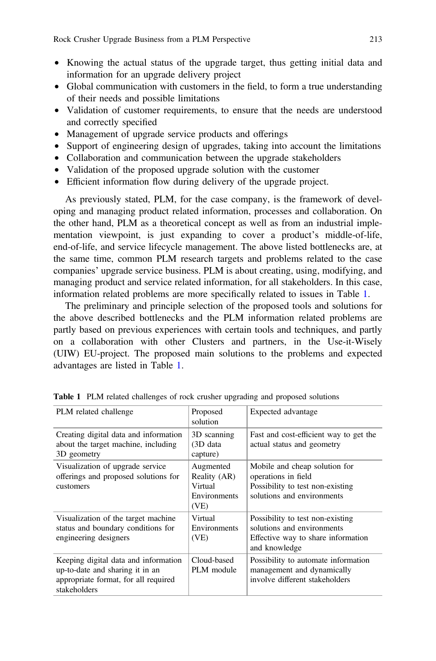- Knowing the actual status of the upgrade target, thus getting initial data and information for an upgrade delivery project
- Global communication with customers in the field, to form a true understanding of their needs and possible limitations
- Validation of customer requirements, to ensure that the needs are understood and correctly specified
- Management of upgrade service products and offerings
- Support of engineering design of upgrades, taking into account the limitations
- Collaboration and communication between the upgrade stakeholders
- Validation of the proposed upgrade solution with the customer
- Efficient information flow during delivery of the upgrade project.

As previously stated, PLM, for the case company, is the framework of developing and managing product related information, processes and collaboration. On the other hand, PLM as a theoretical concept as well as from an industrial implementation viewpoint, is just expanding to cover a product's middle-of-life, end-of-life, and service lifecycle management. The above listed bottlenecks are, at the same time, common PLM research targets and problems related to the case companies' upgrade service business. PLM is about creating, using, modifying, and managing product and service related information, for all stakeholders. In this case, information related problems are more specifically related to issues in Table 1.

The preliminary and principle selection of the proposed tools and solutions for the above described bottlenecks and the PLM information related problems are partly based on previous experiences with certain tools and techniques, and partly on a collaboration with other Clusters and partners, in the Use-it-Wisely (UIW) EU-project. The proposed main solutions to the problems and expected advantages are listed in Table 1.

| PLM related challenge                                                                                                           | Proposed<br>solution                                         | Expected advantage                                                                                                     |
|---------------------------------------------------------------------------------------------------------------------------------|--------------------------------------------------------------|------------------------------------------------------------------------------------------------------------------------|
| Creating digital data and information<br>about the target machine, including<br>3D geometry                                     | 3D scanning<br>(3D data<br>capture)                          | Fast and cost-efficient way to get the<br>actual status and geometry                                                   |
| Visualization of upgrade service<br>offerings and proposed solutions for<br>customers                                           | Augmented<br>Reality (AR)<br>Virtual<br>Environments<br>(VE) | Mobile and cheap solution for<br>operations in field<br>Possibility to test non-existing<br>solutions and environments |
| Visualization of the target machine<br>status and boundary conditions for<br>engineering designers                              | Virtual<br>Environments<br>(VE)                              | Possibility to test non-existing<br>solutions and environments<br>Effective way to share information<br>and knowledge  |
| Keeping digital data and information<br>up-to-date and sharing it in an<br>appropriate format, for all required<br>stakeholders | Cloud-based<br>PLM module                                    | Possibility to automate information<br>management and dynamically<br>involve different stakeholders                    |

Table 1 PLM related challenges of rock crusher upgrading and proposed solutions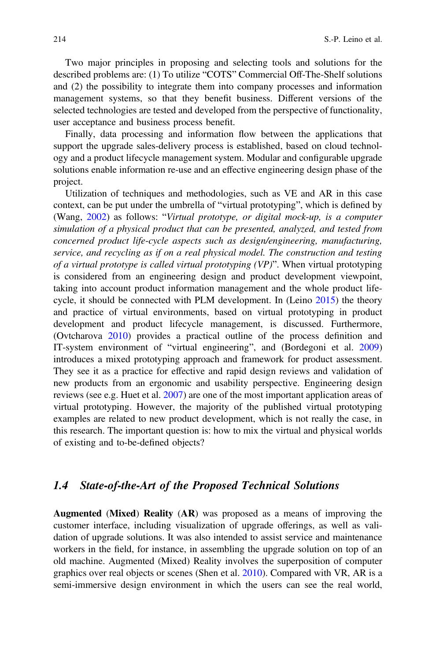Two major principles in proposing and selecting tools and solutions for the described problems are: (1) To utilize "COTS" Commercial Off-The-Shelf solutions and (2) the possibility to integrate them into company processes and information management systems, so that they benefit business. Different versions of the selected technologies are tested and developed from the perspective of functionality, user acceptance and business process benefit.

Finally, data processing and information flow between the applications that support the upgrade sales-delivery process is established, based on cloud technology and a product lifecycle management system. Modular and configurable upgrade solutions enable information re-use and an effective engineering design phase of the project.

Utilization of techniques and methodologies, such as VE and AR in this case context, can be put under the umbrella of "virtual prototyping", which is defined by (Wang, [2002](#page-22-0)) as follows: "Virtual prototype, or digital mock-up, is a computer simulation of a physical product that can be presented, analyzed, and tested from concerned product life-cycle aspects such as design/engineering, manufacturing, service, and recycling as if on a real physical model. The construction and testing of a virtual prototype is called virtual prototyping (VP)". When virtual prototyping is considered from an engineering design and product development viewpoint, taking into account product information management and the whole product lifecycle, it should be connected with PLM development. In (Leino [2015](#page-22-0)) the theory and practice of virtual environments, based on virtual prototyping in product development and product lifecycle management, is discussed. Furthermore, (Ovtcharova [2010\)](#page-22-0) provides a practical outline of the process definition and IT-system environment of "virtual engineering", and (Bordegoni et al. [2009](#page-21-0)) introduces a mixed prototyping approach and framework for product assessment. They see it as a practice for effective and rapid design reviews and validation of new products from an ergonomic and usability perspective. Engineering design reviews (see e.g. Huet et al. [2007\)](#page-21-0) are one of the most important application areas of virtual prototyping. However, the majority of the published virtual prototyping examples are related to new product development, which is not really the case, in this research. The important question is: how to mix the virtual and physical worlds of existing and to-be-defined objects?

## 1.4 State-of-the-Art of the Proposed Technical Solutions

Augmented (Mixed) Reality (AR) was proposed as a means of improving the customer interface, including visualization of upgrade offerings, as well as validation of upgrade solutions. It was also intended to assist service and maintenance workers in the field, for instance, in assembling the upgrade solution on top of an old machine. Augmented (Mixed) Reality involves the superposition of computer graphics over real objects or scenes (Shen et al. [2010](#page-22-0)). Compared with VR, AR is a semi-immersive design environment in which the users can see the real world,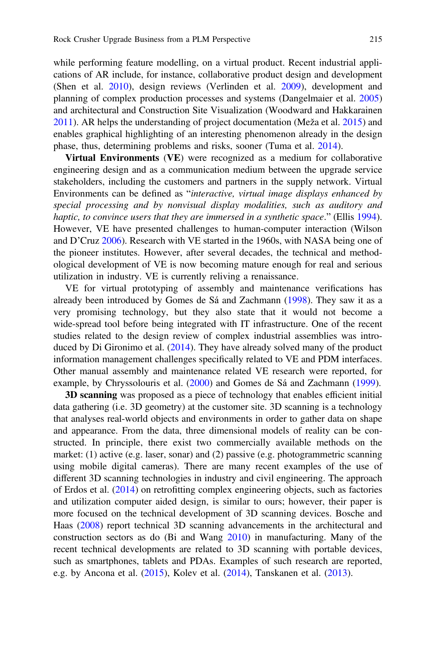while performing feature modelling, on a virtual product. Recent industrial applications of AR include, for instance, collaborative product design and development (Shen et al. [2010\)](#page-22-0), design reviews (Verlinden et al. [2009\)](#page-22-0), development and planning of complex production processes and systems (Dangelmaier et al. [2005](#page-21-0)) and architectural and Construction Site Visualization (Woodward and Hakkarainen [2011\)](#page-23-0). AR helps the understanding of project documentation (Meža et al. [2015](#page-22-0)) and enables graphical highlighting of an interesting phenomenon already in the design phase, thus, determining problems and risks, sooner (Tuma et al. [2014](#page-22-0)).

Virtual Environments (VE) were recognized as a medium for collaborative engineering design and as a communication medium between the upgrade service stakeholders, including the customers and partners in the supply network. Virtual Environments can be defined as "interactive, virtual image displays enhanced by special processing and by nonvisual display modalities, such as auditory and haptic, to convince users that they are immersed in a synthetic space." (Ellis [1994\)](#page-21-0). However, VE have presented challenges to human-computer interaction (Wilson and D'Cruz [2006\)](#page-22-0). Research with VE started in the 1960s, with NASA being one of the pioneer institutes. However, after several decades, the technical and methodological development of VE is now becoming mature enough for real and serious utilization in industry. VE is currently reliving a renaissance.

VE for virtual prototyping of assembly and maintenance verifications has already been introduced by Gomes de Sá and Zachmann ([1998\)](#page-21-0). They saw it as a very promising technology, but they also state that it would not become a wide-spread tool before being integrated with IT infrastructure. One of the recent studies related to the design review of complex industrial assemblies was introduced by Di Gironimo et al. ([2014\)](#page-21-0). They have already solved many of the product information management challenges specifically related to VE and PDM interfaces. Other manual assembly and maintenance related VE research were reported, for example, by Chryssolouris et al. [\(2000](#page-21-0)) and Gomes de Sá and Zachmann ([1999\)](#page-21-0).

3D scanning was proposed as a piece of technology that enables efficient initial data gathering (i.e. 3D geometry) at the customer site. 3D scanning is a technology that analyses real-world objects and environments in order to gather data on shape and appearance. From the data, three dimensional models of reality can be constructed. In principle, there exist two commercially available methods on the market: (1) active (e.g. laser, sonar) and (2) passive (e.g. photogrammetric scanning using mobile digital cameras). There are many recent examples of the use of different 3D scanning technologies in industry and civil engineering. The approach of Erdos et al. [\(2014](#page-21-0)) on retrofitting complex engineering objects, such as factories and utilization computer aided design, is similar to ours; however, their paper is more focused on the technical development of 3D scanning devices. Bosche and Haas ([2008\)](#page-21-0) report technical 3D scanning advancements in the architectural and construction sectors as do (Bi and Wang [2010](#page-21-0)) in manufacturing. Many of the recent technical developments are related to 3D scanning with portable devices, such as smartphones, tablets and PDAs. Examples of such research are reported, e.g. by Ancona et al. ([2015](#page-20-0)), Kolev et al. ([2014\)](#page-22-0), Tanskanen et al. [\(2013](#page-22-0)).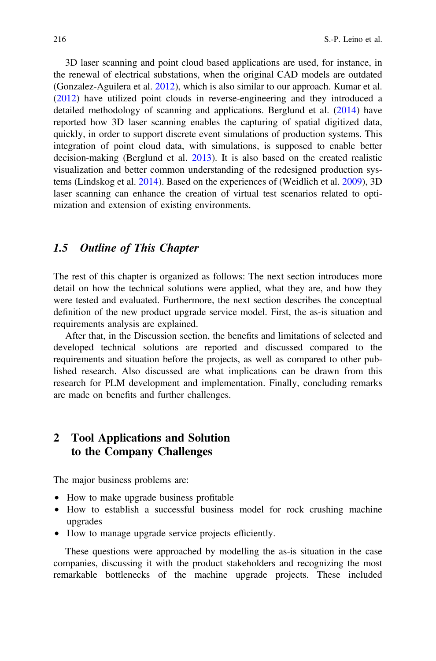3D laser scanning and point cloud based applications are used, for instance, in the renewal of electrical substations, when the original CAD models are outdated (Gonzalez-Aguilera et al. [2012](#page-21-0)), which is also similar to our approach. Kumar et al. [\(2012](#page-22-0)) have utilized point clouds in reverse-engineering and they introduced a detailed methodology of scanning and applications. Berglund et al. [\(2014](#page-21-0)) have reported how 3D laser scanning enables the capturing of spatial digitized data, quickly, in order to support discrete event simulations of production systems. This integration of point cloud data, with simulations, is supposed to enable better decision-making (Berglund et al. [2013\)](#page-21-0). It is also based on the created realistic visualization and better common understanding of the redesigned production systems (Lindskog et al. [2014\)](#page-22-0). Based on the experiences of (Weidlich et al. [2009](#page-22-0)), 3D laser scanning can enhance the creation of virtual test scenarios related to optimization and extension of existing environments.

## 1.5 Outline of This Chapter

The rest of this chapter is organized as follows: The next section introduces more detail on how the technical solutions were applied, what they are, and how they were tested and evaluated. Furthermore, the next section describes the conceptual definition of the new product upgrade service model. First, the as-is situation and requirements analysis are explained.

After that, in the Discussion section, the benefits and limitations of selected and developed technical solutions are reported and discussed compared to the requirements and situation before the projects, as well as compared to other published research. Also discussed are what implications can be drawn from this research for PLM development and implementation. Finally, concluding remarks are made on benefits and further challenges.

## 2 Tool Applications and Solution to the Company Challenges

The major business problems are:

- How to make upgrade business profitable
- How to establish a successful business model for rock crushing machine upgrades
- How to manage upgrade service projects efficiently.

These questions were approached by modelling the as-is situation in the case companies, discussing it with the product stakeholders and recognizing the most remarkable bottlenecks of the machine upgrade projects. These included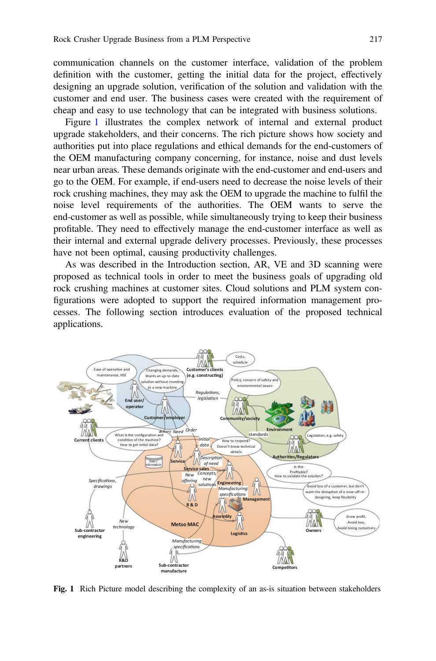<span id="page-8-0"></span>communication channels on the customer interface, validation of the problem definition with the customer, getting the initial data for the project, effectively designing an upgrade solution, verification of the solution and validation with the customer and end user. The business cases were created with the requirement of cheap and easy to use technology that can be integrated with business solutions.

Figure 1 illustrates the complex network of internal and external product upgrade stakeholders, and their concerns. The rich picture shows how society and authorities put into place regulations and ethical demands for the end-customers of the OEM manufacturing company concerning, for instance, noise and dust levels near urban areas. These demands originate with the end-customer and end-users and go to the OEM. For example, if end-users need to decrease the noise levels of their rock crushing machines, they may ask the OEM to upgrade the machine to fulfil the noise level requirements of the authorities. The OEM wants to serve the end-customer as well as possible, while simultaneously trying to keep their business profitable. They need to effectively manage the end-customer interface as well as their internal and external upgrade delivery processes. Previously, these processes have not been optimal, causing productivity challenges.

As was described in the Introduction section, AR, VE and 3D scanning were proposed as technical tools in order to meet the business goals of upgrading old rock crushing machines at customer sites. Cloud solutions and PLM system configurations were adopted to support the required information management processes. The following section introduces evaluation of the proposed technical applications.



Fig. 1 Rich Picture model describing the complexity of an as-is situation between stakeholders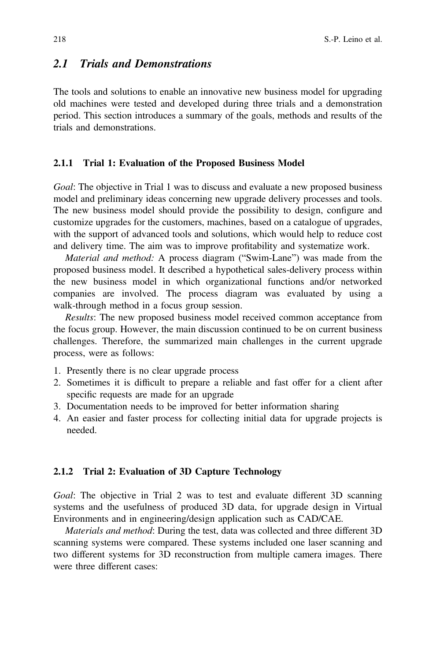### 2.1 Trials and Demonstrations

The tools and solutions to enable an innovative new business model for upgrading old machines were tested and developed during three trials and a demonstration period. This section introduces a summary of the goals, methods and results of the trials and demonstrations.

#### 2.1.1 Trial 1: Evaluation of the Proposed Business Model

Goal: The objective in Trial 1 was to discuss and evaluate a new proposed business model and preliminary ideas concerning new upgrade delivery processes and tools. The new business model should provide the possibility to design, configure and customize upgrades for the customers, machines, based on a catalogue of upgrades, with the support of advanced tools and solutions, which would help to reduce cost and delivery time. The aim was to improve profitability and systematize work.

Material and method: A process diagram ("Swim-Lane") was made from the proposed business model. It described a hypothetical sales-delivery process within the new business model in which organizational functions and/or networked companies are involved. The process diagram was evaluated by using a walk-through method in a focus group session.

Results: The new proposed business model received common acceptance from the focus group. However, the main discussion continued to be on current business challenges. Therefore, the summarized main challenges in the current upgrade process, were as follows:

- 1. Presently there is no clear upgrade process
- 2. Sometimes it is difficult to prepare a reliable and fast offer for a client after specific requests are made for an upgrade
- 3. Documentation needs to be improved for better information sharing
- 4. An easier and faster process for collecting initial data for upgrade projects is needed.

#### 2.1.2 Trial 2: Evaluation of 3D Capture Technology

Goal: The objective in Trial 2 was to test and evaluate different 3D scanning systems and the usefulness of produced 3D data, for upgrade design in Virtual Environments and in engineering/design application such as CAD/CAE.

Materials and method: During the test, data was collected and three different 3D scanning systems were compared. These systems included one laser scanning and two different systems for 3D reconstruction from multiple camera images. There were three different cases: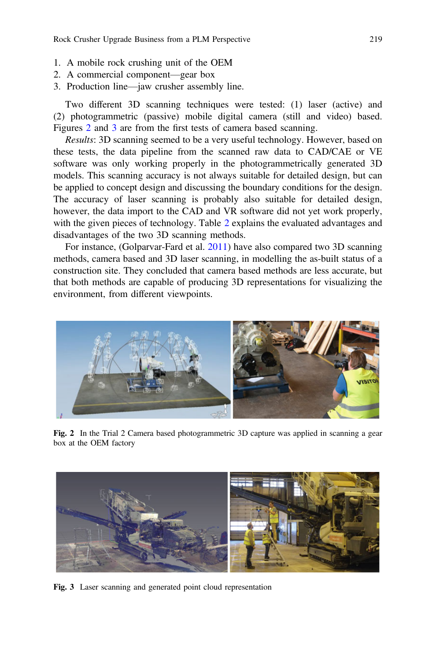- 1. A mobile rock crushing unit of the OEM
- 2. A commercial component—gear box
- 3. Production line—jaw crusher assembly line.

Two different 3D scanning techniques were tested: (1) laser (active) and (2) photogrammetric (passive) mobile digital camera (still and video) based. Figures 2 and 3 are from the first tests of camera based scanning.

Results: 3D scanning seemed to be a very useful technology. However, based on these tests, the data pipeline from the scanned raw data to CAD/CAE or VE software was only working properly in the photogrammetrically generated 3D models. This scanning accuracy is not always suitable for detailed design, but can be applied to concept design and discussing the boundary conditions for the design. The accuracy of laser scanning is probably also suitable for detailed design, however, the data import to the CAD and VR software did not yet work properly, with the given pieces of technology. Table [2](#page-11-0) explains the evaluated advantages and disadvantages of the two 3D scanning methods.

For instance, (Golparvar-Fard et al. [2011\)](#page-21-0) have also compared two 3D scanning methods, camera based and 3D laser scanning, in modelling the as-built status of a construction site. They concluded that camera based methods are less accurate, but that both methods are capable of producing 3D representations for visualizing the environment, from different viewpoints.



Fig. 2 In the Trial 2 Camera based photogrammetric 3D capture was applied in scanning a gear box at the OEM factory



Fig. 3 Laser scanning and generated point cloud representation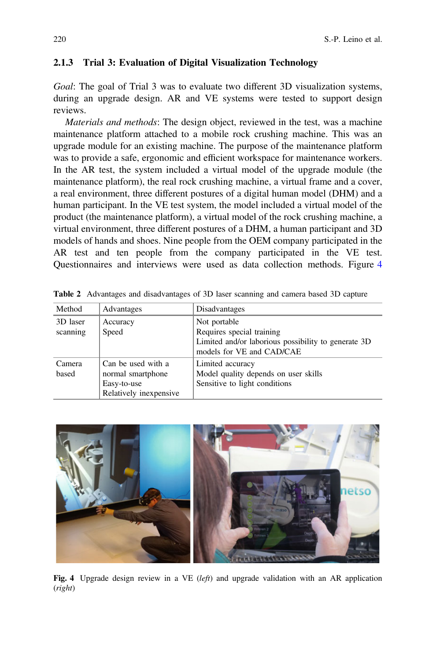#### <span id="page-11-0"></span>2.1.3 Trial 3: Evaluation of Digital Visualization Technology

Goal: The goal of Trial 3 was to evaluate two different 3D visualization systems, during an upgrade design. AR and VE systems were tested to support design reviews.

Materials and methods: The design object, reviewed in the test, was a machine maintenance platform attached to a mobile rock crushing machine. This was an upgrade module for an existing machine. The purpose of the maintenance platform was to provide a safe, ergonomic and efficient workspace for maintenance workers. In the AR test, the system included a virtual model of the upgrade module (the maintenance platform), the real rock crushing machine, a virtual frame and a cover, a real environment, three different postures of a digital human model (DHM) and a human participant. In the VE test system, the model included a virtual model of the product (the maintenance platform), a virtual model of the rock crushing machine, a virtual environment, three different postures of a DHM, a human participant and 3D models of hands and shoes. Nine people from the OEM company participated in the AR test and ten people from the company participated in the VE test. Questionnaires and interviews were used as data collection methods. Figure 4

| Method               | Advantages                                                                       | Disadvantages                                                                                                                 |
|----------------------|----------------------------------------------------------------------------------|-------------------------------------------------------------------------------------------------------------------------------|
| 3D laser<br>scanning | Accuracy<br>Speed                                                                | Not portable<br>Requires special training<br>Limited and/or laborious possibility to generate 3D<br>models for VE and CAD/CAE |
| Camera<br>based      | Can be used with a<br>normal smartphone<br>Easy-to-use<br>Relatively inexpensive | Limited accuracy<br>Model quality depends on user skills<br>Sensitive to light conditions                                     |

Table 2 Advantages and disadvantages of 3D laser scanning and camera based 3D capture



Fig. 4 Upgrade design review in a VE (left) and upgrade validation with an AR application (right)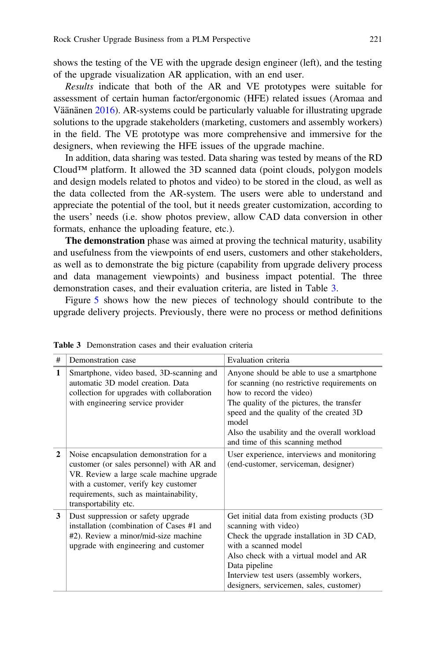shows the testing of the VE with the upgrade design engineer (left), and the testing of the upgrade visualization AR application, with an end user.

Results indicate that both of the AR and VE prototypes were suitable for assessment of certain human factor/ergonomic (HFE) related issues (Aromaa and Väänänen [2016\)](#page-20-0). AR-systems could be particularly valuable for illustrating upgrade solutions to the upgrade stakeholders (marketing, customers and assembly workers) in the field. The VE prototype was more comprehensive and immersive for the designers, when reviewing the HFE issues of the upgrade machine.

In addition, data sharing was tested. Data sharing was tested by means of the RD Cloud<sup>™</sup> platform. It allowed the 3D scanned data (point clouds, polygon models and design models related to photos and video) to be stored in the cloud, as well as the data collected from the AR-system. The users were able to understand and appreciate the potential of the tool, but it needs greater customization, according to the users' needs (i.e. show photos preview, allow CAD data conversion in other formats, enhance the uploading feature, etc.).

The demonstration phase was aimed at proving the technical maturity, usability and usefulness from the viewpoints of end users, customers and other stakeholders, as well as to demonstrate the big picture (capability from upgrade delivery process and data management viewpoints) and business impact potential. The three demonstration cases, and their evaluation criteria, are listed in Table 3.

Figure [5](#page-13-0) shows how the new pieces of technology should contribute to the upgrade delivery projects. Previously, there were no process or method definitions

| #              | Demonstration case                                                                                                                                                                                                                          | Evaluation criteria                                                                                                                                                                                                                                                                                       |
|----------------|---------------------------------------------------------------------------------------------------------------------------------------------------------------------------------------------------------------------------------------------|-----------------------------------------------------------------------------------------------------------------------------------------------------------------------------------------------------------------------------------------------------------------------------------------------------------|
| 1              | Smartphone, video based, 3D-scanning and<br>automatic 3D model creation. Data<br>collection for upgrades with collaboration<br>with engineering service provider                                                                            | Anyone should be able to use a smartphone<br>for scanning (no restrictive requirements on<br>how to record the video)<br>The quality of the pictures, the transfer<br>speed and the quality of the created 3D<br>model<br>Also the usability and the overall workload<br>and time of this scanning method |
| $\overline{2}$ | Noise encapsulation demonstration for a<br>customer (or sales personnel) with AR and<br>VR. Review a large scale machine upgrade<br>with a customer, verify key customer<br>requirements, such as maintainability,<br>transportability etc. | User experience, interviews and monitoring<br>(end-customer, serviceman, designer)                                                                                                                                                                                                                        |
| 3              | Dust suppression or safety upgrade<br>installation (combination of Cases #1 and<br>#2). Review a minor/mid-size machine<br>upgrade with engineering and customer                                                                            | Get initial data from existing products (3D<br>scanning with video)<br>Check the upgrade installation in 3D CAD,<br>with a scanned model<br>Also check with a virtual model and AR<br>Data pipeline<br>Interview test users (assembly workers,<br>designers, servicemen, sales, customer)                 |

Table 3 Demonstration cases and their evaluation criteria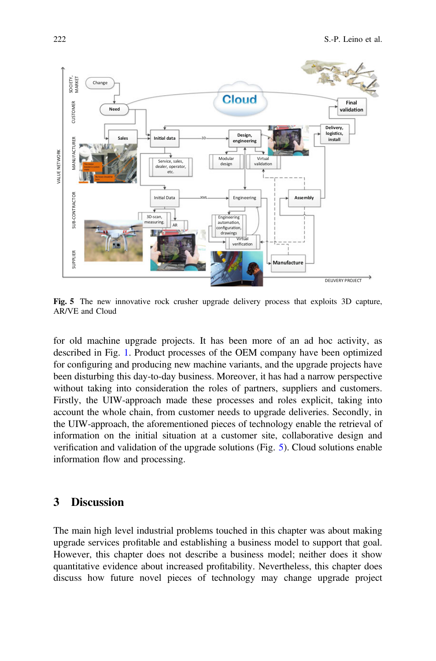<span id="page-13-0"></span>

Fig. 5 The new innovative rock crusher upgrade delivery process that exploits 3D capture, AR/VE and Cloud

for old machine upgrade projects. It has been more of an ad hoc activity, as described in Fig. [1.](#page-8-0) Product processes of the OEM company have been optimized for configuring and producing new machine variants, and the upgrade projects have been disturbing this day-to-day business. Moreover, it has had a narrow perspective without taking into consideration the roles of partners, suppliers and customers. Firstly, the UIW-approach made these processes and roles explicit, taking into account the whole chain, from customer needs to upgrade deliveries. Secondly, in the UIW-approach, the aforementioned pieces of technology enable the retrieval of information on the initial situation at a customer site, collaborative design and verification and validation of the upgrade solutions (Fig. 5). Cloud solutions enable information flow and processing.

## 3 Discussion

The main high level industrial problems touched in this chapter was about making upgrade services profitable and establishing a business model to support that goal. However, this chapter does not describe a business model; neither does it show quantitative evidence about increased profitability. Nevertheless, this chapter does discuss how future novel pieces of technology may change upgrade project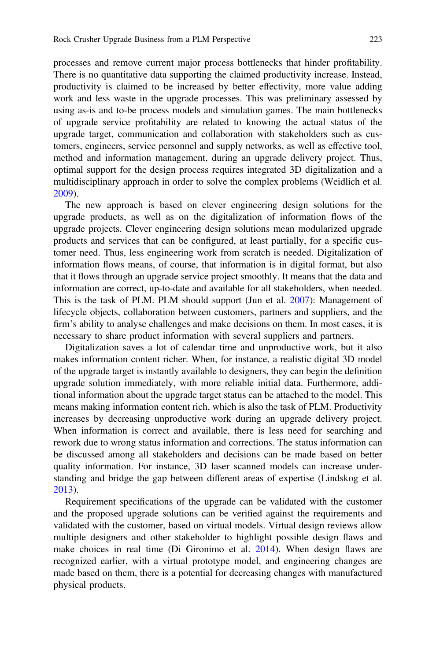processes and remove current major process bottlenecks that hinder profitability. There is no quantitative data supporting the claimed productivity increase. Instead, productivity is claimed to be increased by better effectivity, more value adding work and less waste in the upgrade processes. This was preliminary assessed by using as-is and to-be process models and simulation games. The main bottlenecks of upgrade service profitability are related to knowing the actual status of the upgrade target, communication and collaboration with stakeholders such as customers, engineers, service personnel and supply networks, as well as effective tool, method and information management, during an upgrade delivery project. Thus, optimal support for the design process requires integrated 3D digitalization and a multidisciplinary approach in order to solve the complex problems (Weidlich et al. [2009\)](#page-22-0).

The new approach is based on clever engineering design solutions for the upgrade products, as well as on the digitalization of information flows of the upgrade projects. Clever engineering design solutions mean modularized upgrade products and services that can be configured, at least partially, for a specific customer need. Thus, less engineering work from scratch is needed. Digitalization of information flows means, of course, that information is in digital format, but also that it flows through an upgrade service project smoothly. It means that the data and information are correct, up-to-date and available for all stakeholders, when needed. This is the task of PLM. PLM should support (Jun et al. [2007](#page-22-0)): Management of lifecycle objects, collaboration between customers, partners and suppliers, and the firm's ability to analyse challenges and make decisions on them. In most cases, it is necessary to share product information with several suppliers and partners.

Digitalization saves a lot of calendar time and unproductive work, but it also makes information content richer. When, for instance, a realistic digital 3D model of the upgrade target is instantly available to designers, they can begin the definition upgrade solution immediately, with more reliable initial data. Furthermore, additional information about the upgrade target status can be attached to the model. This means making information content rich, which is also the task of PLM. Productivity increases by decreasing unproductive work during an upgrade delivery project. When information is correct and available, there is less need for searching and rework due to wrong status information and corrections. The status information can be discussed among all stakeholders and decisions can be made based on better quality information. For instance, 3D laser scanned models can increase understanding and bridge the gap between different areas of expertise (Lindskog et al. [2013\)](#page-22-0).

Requirement specifications of the upgrade can be validated with the customer and the proposed upgrade solutions can be verified against the requirements and validated with the customer, based on virtual models. Virtual design reviews allow multiple designers and other stakeholder to highlight possible design flaws and make choices in real time (Di Gironimo et al. [2014\)](#page-21-0). When design flaws are recognized earlier, with a virtual prototype model, and engineering changes are made based on them, there is a potential for decreasing changes with manufactured physical products.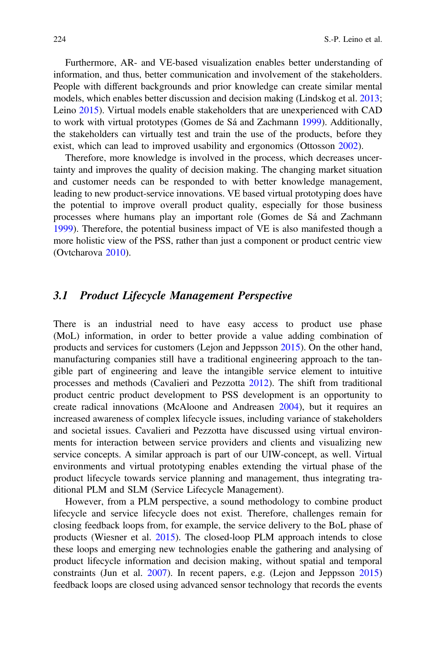Furthermore, AR- and VE-based visualization enables better understanding of information, and thus, better communication and involvement of the stakeholders. People with different backgrounds and prior knowledge can create similar mental models, which enables better discussion and decision making (Lindskog et al. [2013;](#page-22-0) Leino [2015\)](#page-22-0). Virtual models enable stakeholders that are unexperienced with CAD to work with virtual prototypes (Gomes de Sá and Zachmann [1999](#page-21-0)). Additionally, the stakeholders can virtually test and train the use of the products, before they exist, which can lead to improved usability and ergonomics (Ottosson [2002](#page-22-0)).

Therefore, more knowledge is involved in the process, which decreases uncertainty and improves the quality of decision making. The changing market situation and customer needs can be responded to with better knowledge management, leading to new product-service innovations. VE based virtual prototyping does have the potential to improve overall product quality, especially for those business processes where humans play an important role (Gomes de Sá and Zachmann [1999\)](#page-21-0). Therefore, the potential business impact of VE is also manifested though a more holistic view of the PSS, rather than just a component or product centric view (Ovtcharova [2010\)](#page-22-0).

## 3.1 Product Lifecycle Management Perspective

There is an industrial need to have easy access to product use phase (MoL) information, in order to better provide a value adding combination of products and services for customers (Lejon and Jeppsson [2015\)](#page-22-0). On the other hand, manufacturing companies still have a traditional engineering approach to the tangible part of engineering and leave the intangible service element to intuitive processes and methods (Cavalieri and Pezzotta [2012](#page-21-0)). The shift from traditional product centric product development to PSS development is an opportunity to create radical innovations (McAloone and Andreasen [2004](#page-22-0)), but it requires an increased awareness of complex lifecycle issues, including variance of stakeholders and societal issues. Cavalieri and Pezzotta have discussed using virtual environments for interaction between service providers and clients and visualizing new service concepts. A similar approach is part of our UIW-concept, as well. Virtual environments and virtual prototyping enables extending the virtual phase of the product lifecycle towards service planning and management, thus integrating traditional PLM and SLM (Service Lifecycle Management).

However, from a PLM perspective, a sound methodology to combine product lifecycle and service lifecycle does not exist. Therefore, challenges remain for closing feedback loops from, for example, the service delivery to the BoL phase of products (Wiesner et al. [2015\)](#page-22-0). The closed-loop PLM approach intends to close these loops and emerging new technologies enable the gathering and analysing of product lifecycle information and decision making, without spatial and temporal constraints (Jun et al. [2007\)](#page-22-0). In recent papers, e.g. (Lejon and Jeppsson [2015](#page-22-0)) feedback loops are closed using advanced sensor technology that records the events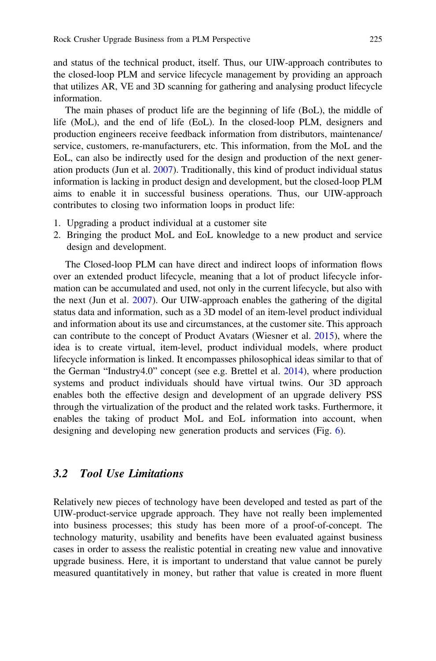and status of the technical product, itself. Thus, our UIW-approach contributes to the closed-loop PLM and service lifecycle management by providing an approach that utilizes AR, VE and 3D scanning for gathering and analysing product lifecycle information.

The main phases of product life are the beginning of life (BoL), the middle of life (MoL), and the end of life (EoL). In the closed-loop PLM, designers and production engineers receive feedback information from distributors, maintenance/ service, customers, re-manufacturers, etc. This information, from the MoL and the EoL, can also be indirectly used for the design and production of the next generation products (Jun et al. [2007\)](#page-22-0). Traditionally, this kind of product individual status information is lacking in product design and development, but the closed-loop PLM aims to enable it in successful business operations. Thus, our UIW-approach contributes to closing two information loops in product life:

- 1. Upgrading a product individual at a customer site
- 2. Bringing the product MoL and EoL knowledge to a new product and service design and development.

The Closed-loop PLM can have direct and indirect loops of information flows over an extended product lifecycle, meaning that a lot of product lifecycle information can be accumulated and used, not only in the current lifecycle, but also with the next (Jun et al. [2007\)](#page-22-0). Our UIW-approach enables the gathering of the digital status data and information, such as a 3D model of an item-level product individual and information about its use and circumstances, at the customer site. This approach can contribute to the concept of Product Avatars (Wiesner et al. [2015\)](#page-22-0), where the idea is to create virtual, item-level, product individual models, where product lifecycle information is linked. It encompasses philosophical ideas similar to that of the German "Industry4.0" concept (see e.g. Brettel et al. [2014](#page-21-0)), where production systems and product individuals should have virtual twins. Our 3D approach enables both the effective design and development of an upgrade delivery PSS through the virtualization of the product and the related work tasks. Furthermore, it enables the taking of product MoL and EoL information into account, when designing and developing new generation products and services (Fig. [6](#page-17-0)).

## 3.2 Tool Use Limitations

Relatively new pieces of technology have been developed and tested as part of the UIW-product-service upgrade approach. They have not really been implemented into business processes; this study has been more of a proof-of-concept. The technology maturity, usability and benefits have been evaluated against business cases in order to assess the realistic potential in creating new value and innovative upgrade business. Here, it is important to understand that value cannot be purely measured quantitatively in money, but rather that value is created in more fluent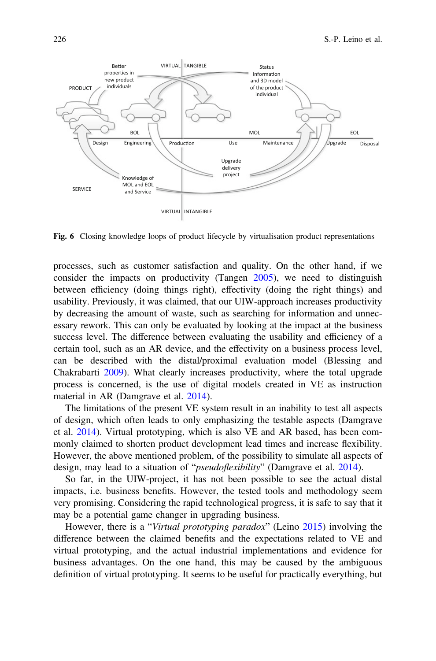<span id="page-17-0"></span>

Fig. 6 Closing knowledge loops of product lifecycle by virtualisation product representations

processes, such as customer satisfaction and quality. On the other hand, if we consider the impacts on productivity (Tangen [2005\)](#page-22-0), we need to distinguish between efficiency (doing things right), effectivity (doing the right things) and usability. Previously, it was claimed, that our UIW-approach increases productivity by decreasing the amount of waste, such as searching for information and unnecessary rework. This can only be evaluated by looking at the impact at the business success level. The difference between evaluating the usability and efficiency of a certain tool, such as an AR device, and the effectivity on a business process level, can be described with the distal/proximal evaluation model (Blessing and Chakrabarti [2009\)](#page-21-0). What clearly increases productivity, where the total upgrade process is concerned, is the use of digital models created in VE as instruction material in AR (Damgrave et al. [2014](#page-21-0)).

The limitations of the present VE system result in an inability to test all aspects of design, which often leads to only emphasizing the testable aspects (Damgrave et al. [2014](#page-21-0)). Virtual prototyping, which is also VE and AR based, has been commonly claimed to shorten product development lead times and increase flexibility. However, the above mentioned problem, of the possibility to simulate all aspects of design, may lead to a situation of "pseudoflexibility" (Damgrave et al. [2014](#page-21-0)).

So far, in the UIW-project, it has not been possible to see the actual distal impacts, i.e. business benefits. However, the tested tools and methodology seem very promising. Considering the rapid technological progress, it is safe to say that it may be a potential game changer in upgrading business.

However, there is a "*Virtual prototyping paradox*" (Leino [2015](#page-22-0)) involving the difference between the claimed benefits and the expectations related to VE and virtual prototyping, and the actual industrial implementations and evidence for business advantages. On the one hand, this may be caused by the ambiguous definition of virtual prototyping. It seems to be useful for practically everything, but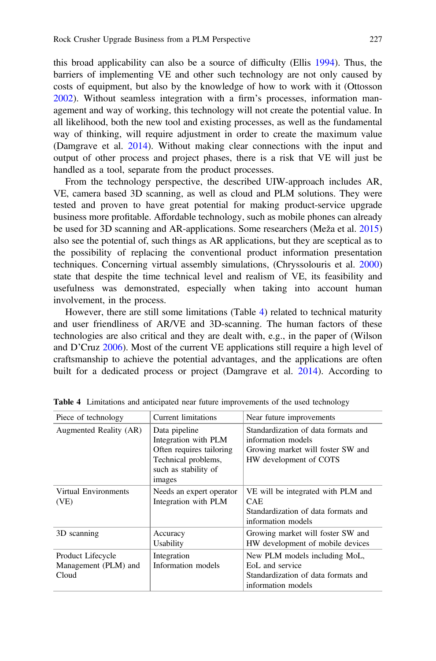this broad applicability can also be a source of difficulty (Ellis [1994](#page-21-0)). Thus, the barriers of implementing VE and other such technology are not only caused by costs of equipment, but also by the knowledge of how to work with it (Ottosson [2002\)](#page-22-0). Without seamless integration with a firm's processes, information management and way of working, this technology will not create the potential value. In all likelihood, both the new tool and existing processes, as well as the fundamental way of thinking, will require adjustment in order to create the maximum value (Damgrave et al. [2014](#page-21-0)). Without making clear connections with the input and output of other process and project phases, there is a risk that VE will just be handled as a tool, separate from the product processes.

From the technology perspective, the described UIW-approach includes AR, VE, camera based 3D scanning, as well as cloud and PLM solutions. They were tested and proven to have great potential for making product-service upgrade business more profitable. Affordable technology, such as mobile phones can already be used for 3D scanning and AR-applications. Some researchers (Meža et al. [2015](#page-22-0)) also see the potential of, such things as AR applications, but they are sceptical as to the possibility of replacing the conventional product information presentation techniques. Concerning virtual assembly simulations, (Chryssolouris et al. [2000](#page-21-0)) state that despite the time technical level and realism of VE, its feasibility and usefulness was demonstrated, especially when taking into account human involvement, in the process.

However, there are still some limitations (Table 4) related to technical maturity and user friendliness of AR/VE and 3D-scanning. The human factors of these technologies are also critical and they are dealt with, e.g., in the paper of (Wilson and D'Cruz [2006\)](#page-22-0). Most of the current VE applications still require a high level of craftsmanship to achieve the potential advantages, and the applications are often built for a dedicated process or project (Damgrave et al. [2014\)](#page-21-0). According to

| Piece of technology                                | <b>Current limitations</b>                                                                                                 | Near future improvements                                                                                                 |
|----------------------------------------------------|----------------------------------------------------------------------------------------------------------------------------|--------------------------------------------------------------------------------------------------------------------------|
| Augmented Reality (AR)                             | Data pipeline<br>Integration with PLM<br>Often requires tailoring<br>Technical problems,<br>such as stability of<br>images | Standardization of data formats and<br>information models<br>Growing market will foster SW and<br>HW development of COTS |
| Virtual Environments<br>(VE)                       | Needs an expert operator<br>Integration with PLM                                                                           | VE will be integrated with PLM and<br><b>CAE</b><br>Standardization of data formats and<br>information models            |
| 3D scanning                                        | Accuracy<br><b>Usability</b>                                                                                               | Growing market will foster SW and<br>HW development of mobile devices                                                    |
| Product Lifecycle<br>Management (PLM) and<br>Cloud | Integration<br>Information models                                                                                          | New PLM models including MoL,<br>EoL and service<br>Standardization of data formats and<br>information models            |

Table 4 Limitations and anticipated near future improvements of the used technology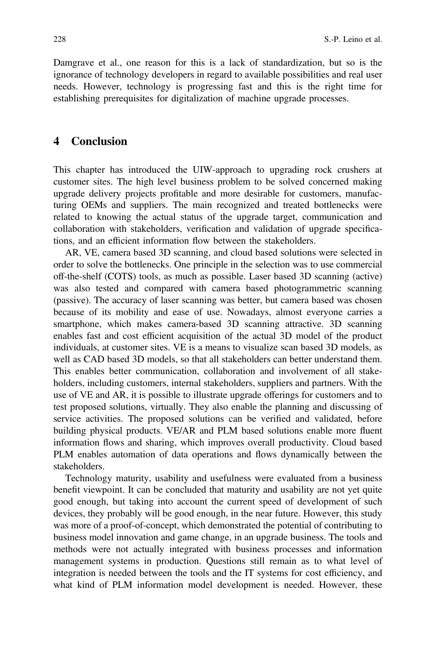Damgrave et al., one reason for this is a lack of standardization, but so is the ignorance of technology developers in regard to available possibilities and real user needs. However, technology is progressing fast and this is the right time for establishing prerequisites for digitalization of machine upgrade processes.

## 4 Conclusion

This chapter has introduced the UIW-approach to upgrading rock crushers at customer sites. The high level business problem to be solved concerned making upgrade delivery projects profitable and more desirable for customers, manufacturing OEMs and suppliers. The main recognized and treated bottlenecks were related to knowing the actual status of the upgrade target, communication and collaboration with stakeholders, verification and validation of upgrade specifications, and an efficient information flow between the stakeholders.

AR, VE, camera based 3D scanning, and cloud based solutions were selected in order to solve the bottlenecks. One principle in the selection was to use commercial off-the-shelf (COTS) tools, as much as possible. Laser based 3D scanning (active) was also tested and compared with camera based photogrammetric scanning (passive). The accuracy of laser scanning was better, but camera based was chosen because of its mobility and ease of use. Nowadays, almost everyone carries a smartphone, which makes camera-based 3D scanning attractive. 3D scanning enables fast and cost efficient acquisition of the actual 3D model of the product individuals, at customer sites. VE is a means to visualize scan based 3D models, as well as CAD based 3D models, so that all stakeholders can better understand them. This enables better communication, collaboration and involvement of all stakeholders, including customers, internal stakeholders, suppliers and partners. With the use of VE and AR, it is possible to illustrate upgrade offerings for customers and to test proposed solutions, virtually. They also enable the planning and discussing of service activities. The proposed solutions can be verified and validated, before building physical products. VE/AR and PLM based solutions enable more fluent information flows and sharing, which improves overall productivity. Cloud based PLM enables automation of data operations and flows dynamically between the stakeholders.

Technology maturity, usability and usefulness were evaluated from a business benefit viewpoint. It can be concluded that maturity and usability are not yet quite good enough, but taking into account the current speed of development of such devices, they probably will be good enough, in the near future. However, this study was more of a proof-of-concept, which demonstrated the potential of contributing to business model innovation and game change, in an upgrade business. The tools and methods were not actually integrated with business processes and information management systems in production. Questions still remain as to what level of integration is needed between the tools and the IT systems for cost efficiency, and what kind of PLM information model development is needed. However, these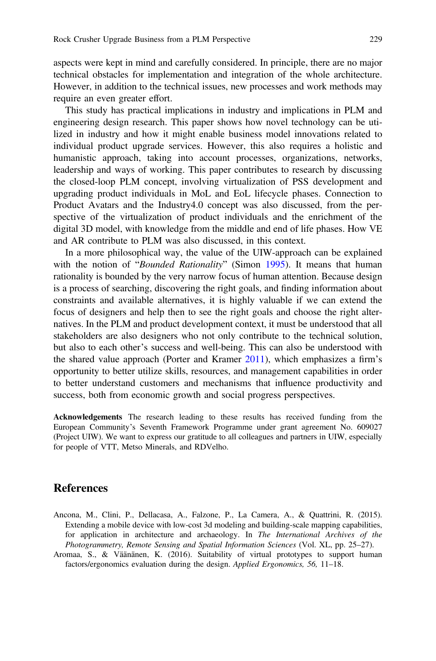<span id="page-20-0"></span>aspects were kept in mind and carefully considered. In principle, there are no major technical obstacles for implementation and integration of the whole architecture. However, in addition to the technical issues, new processes and work methods may require an even greater effort.

This study has practical implications in industry and implications in PLM and engineering design research. This paper shows how novel technology can be utilized in industry and how it might enable business model innovations related to individual product upgrade services. However, this also requires a holistic and humanistic approach, taking into account processes, organizations, networks, leadership and ways of working. This paper contributes to research by discussing the closed-loop PLM concept, involving virtualization of PSS development and upgrading product individuals in MoL and EoL lifecycle phases. Connection to Product Avatars and the Industry4.0 concept was also discussed, from the perspective of the virtualization of product individuals and the enrichment of the digital 3D model, with knowledge from the middle and end of life phases. How VE and AR contribute to PLM was also discussed, in this context.

In a more philosophical way, the value of the UIW-approach can be explained with the notion of "*Bounded Rationality*" (Simon [1995\)](#page-22-0). It means that human rationality is bounded by the very narrow focus of human attention. Because design is a process of searching, discovering the right goals, and finding information about constraints and available alternatives, it is highly valuable if we can extend the focus of designers and help then to see the right goals and choose the right alternatives. In the PLM and product development context, it must be understood that all stakeholders are also designers who not only contribute to the technical solution, but also to each other's success and well-being. This can also be understood with the shared value approach (Porter and Kramer [2011](#page-22-0)), which emphasizes a firm's opportunity to better utilize skills, resources, and management capabilities in order to better understand customers and mechanisms that influence productivity and success, both from economic growth and social progress perspectives.

Acknowledgements The research leading to these results has received funding from the European Community's Seventh Framework Programme under grant agreement No. 609027 (Project UIW). We want to express our gratitude to all colleagues and partners in UIW, especially for people of VTT, Metso Minerals, and RDVelho.

## References

- Ancona, M., Clini, P., Dellacasa, A., Falzone, P., La Camera, A., & Quattrini, R. (2015). Extending a mobile device with low-cost 3d modeling and building-scale mapping capabilities, for application in architecture and archaeology. In The International Archives of the Photogrammetry, Remote Sensing and Spatial Information Sciences (Vol. XL, pp. 25–27).
- Aromaa, S., & Väänänen, K. (2016). Suitability of virtual prototypes to support human factors/ergonomics evaluation during the design. Applied Ergonomics, 56, 11–18.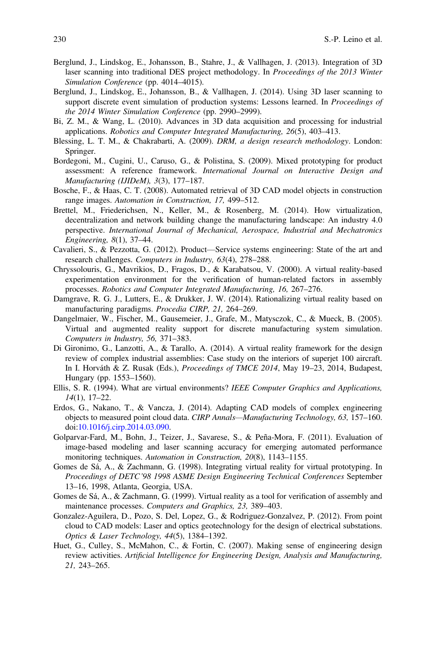- <span id="page-21-0"></span>Berglund, J., Lindskog, E., Johansson, B., Stahre, J., & Vallhagen, J. (2013). Integration of 3D laser scanning into traditional DES project methodology. In Proceedings of the 2013 Winter Simulation Conference (pp. 4014-4015).
- Berglund, J., Lindskog, E., Johansson, B., & Vallhagen, J. (2014). Using 3D laser scanning to support discrete event simulation of production systems: Lessons learned. In *Proceedings of* the 2014 Winter Simulation Conference (pp. 2990–2999).
- Bi, Z. M., & Wang, L. (2010). Advances in 3D data acquisition and processing for industrial applications. Robotics and Computer Integrated Manufacturing, 26(5), 403–413.
- Blessing, L. T. M., & Chakrabarti, A. (2009). DRM, a design research methodology. London: Springer.
- Bordegoni, M., Cugini, U., Caruso, G., & Polistina, S. (2009). Mixed prototyping for product assessment: A reference framework. International Journal on Interactive Design and Manufacturing (IJIDeM), 3(3), 177–187.
- Bosche, F., & Haas, C. T. (2008). Automated retrieval of 3D CAD model objects in construction range images. Automation in Construction, 17, 499–512.
- Brettel, M., Friederichsen, N., Keller, M., & Rosenberg, M. (2014). How virtualization, decentralization and network building change the manufacturing landscape: An industry 4.0 perspective. International Journal of Mechanical, Aerospace, Industrial and Mechatronics Engineering, 8(1), 37–44.
- Cavalieri, S., & Pezzotta, G. (2012). Product—Service systems engineering: State of the art and research challenges. Computers in Industry, 63(4), 278–288.
- Chryssolouris, G., Mavrikios, D., Fragos, D., & Karabatsou, V. (2000). A virtual reality-based experimentation environment for the verification of human-related factors in assembly processes. Robotics and Computer Integrated Manufacturing, 16, 267–276.
- Damgrave, R. G. J., Lutters, E., & Drukker, J. W. (2014). Rationalizing virtual reality based on manufacturing paradigms. Procedia CIRP, 21, 264–269.
- Dangelmaier, W., Fischer, M., Gausemeier, J., Grafe, M., Matysczok, C., & Mueck, B. (2005). Virtual and augmented reality support for discrete manufacturing system simulation. Computers in Industry, 56, 371–383.
- Di Gironimo, G., Lanzotti, A., & Tarallo, A. (2014). A virtual reality framework for the design review of complex industrial assemblies: Case study on the interiors of superjet 100 aircraft. In I. Horváth & Z. Rusak (Eds.), Proceedings of TMCE 2014, May 19–23, 2014, Budapest, Hungary (pp. 1553–1560).
- Ellis, S. R. (1994). What are virtual environments? IEEE Computer Graphics and Applications, 14(1), 17–22.
- Erdos, G., Nakano, T., & Vancza, J. (2014). Adapting CAD models of complex engineering objects to measured point cloud data. CIRP Annals—Manufacturing Technology, 63, 157–160. doi:[10.1016/j.cirp.2014.03.090](http://dx.doi.org/10.1016/j.cirp.2014.03.090).
- Golparvar-Fard, M., Bohn, J., Teizer, J., Savarese, S., & Peña-Mora, F. (2011). Evaluation of image-based modeling and laser scanning accuracy for emerging automated performance monitoring techniques. Automation in Construction, 20(8), 1143–1155.
- Gomes de Sá, A., & Zachmann, G. (1998). Integrating virtual reality for virtual prototyping. In Proceedings of DETC'98 1998 ASME Design Engineering Technical Conferences September 13–16, 1998, Atlanta, Georgia, USA.
- Gomes de Sá, A., & Zachmann, G. (1999). Virtual reality as a tool for verification of assembly and maintenance processes. Computers and Graphics, 23, 389–403.
- Gonzalez-Aguilera, D., Pozo, S. Del, Lopez, G., & Rodriguez-Gonzalvez, P. (2012). From point cloud to CAD models: Laser and optics geotechnology for the design of electrical substations. Optics & Laser Technology, 44(5), 1384–1392.
- Huet, G., Culley, S., McMahon, C., & Fortin, C. (2007). Making sense of engineering design review activities. Artificial Intelligence for Engineering Design, Analysis and Manufacturing, 21, 243–265.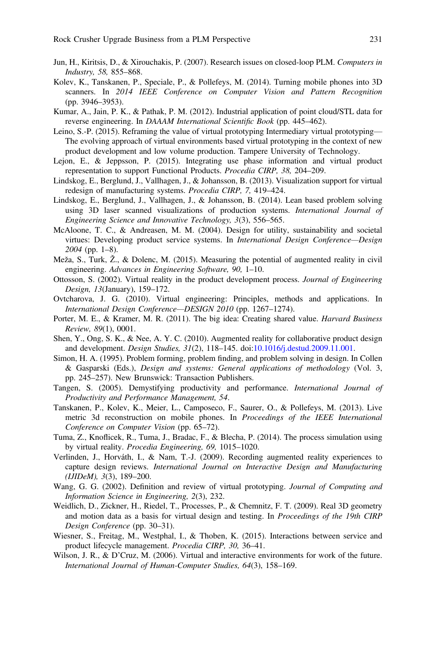- <span id="page-22-0"></span>Jun, H., Kiritsis, D., & Xirouchakis, P. (2007). Research issues on closed-loop PLM. Computers in Industry, 58, 855–868.
- Kolev, K., Tanskanen, P., Speciale, P., & Pollefeys, M. (2014). Turning mobile phones into 3D scanners. In 2014 IEEE Conference on Computer Vision and Pattern Recognition (pp. 3946–3953).
- Kumar, A., Jain, P. K., & Pathak, P. M. (2012). Industrial application of point cloud/STL data for reverse engineering. In DAAAM International Scientific Book (pp. 445–462).
- Leino, S.-P. (2015). Reframing the value of virtual prototyping Intermediary virtual prototyping— The evolving approach of virtual environments based virtual prototyping in the context of new product development and low volume production. Tampere University of Technology.
- Lejon, E., & Jeppsson, P. (2015). Integrating use phase information and virtual product representation to support Functional Products. Procedia CIRP, 38, 204–209.
- Lindskog, E., Berglund, J., Vallhagen, J., & Johansson, B. (2013). Visualization support for virtual redesign of manufacturing systems. Procedia CIRP, 7, 419–424.
- Lindskog, E., Berglund, J., Vallhagen, J., & Johansson, B. (2014). Lean based problem solving using 3D laser scanned visualizations of production systems. International Journal of Engineering Science and Innovative Technology, 3(3), 556–565.
- McAloone, T. C., & Andreasen, M. M. (2004). Design for utility, sustainability and societal virtues: Developing product service systems. In International Design Conference-Design 2004 (pp. 1–8).
- Meža, S., Turk, Ž., & Dolenc, M. (2015). Measuring the potential of augmented reality in civil engineering. Advances in Engineering Software, 90, 1–10.
- Ottosson, S. (2002). Virtual reality in the product development process. Journal of Engineering Design, 13(January), 159–172.
- Ovtcharova, J. G. (2010). Virtual engineering: Principles, methods and applications. In International Design Conference—DESIGN 2010 (pp. 1267–1274).
- Porter, M. E., & Kramer, M. R. (2011). The big idea: Creating shared value. *Harvard Business* Review, 89(1), 0001.
- Shen, Y., Ong, S. K., & Nee, A. Y. C. (2010). Augmented reality for collaborative product design and development. Design Studies, 31(2), 118–145. doi:[10.1016/j.destud.2009.11.001](http://dx.doi.org/10.1016/j.destud.2009.11.001).
- Simon, H. A. (1995). Problem forming, problem finding, and problem solving in design. In Collen & Gasparski (Eds.), Design and systems: General applications of methodology (Vol. 3, pp. 245–257). New Brunswick: Transaction Publishers.
- Tangen, S. (2005). Demystifying productivity and performance. International Journal of Productivity and Performance Management, 54.
- Tanskanen, P., Kolev, K., Meier, L., Camposeco, F., Saurer, O., & Pollefeys, M. (2013). Live metric 3d reconstruction on mobile phones. In Proceedings of the IEEE International Conference on Computer Vision (pp. 65–72).
- Tuma, Z., Knoflicek, R., Tuma, J., Bradac, F., & Blecha, P. (2014). The process simulation using by virtual reality. Procedia Engineering, 69, 1015–1020.
- Verlinden, J., Horváth, I., & Nam, T.-J. (2009). Recording augmented reality experiences to capture design reviews. International Journal on Interactive Design and Manufacturing (IJIDeM), 3(3), 189–200.
- Wang, G. G. (2002). Definition and review of virtual prototyping. Journal of Computing and Information Science in Engineering, 2(3), 232.
- Weidlich, D., Zickner, H., Riedel, T., Processes, P., & Chemnitz, F. T. (2009). Real 3D geometry and motion data as a basis for virtual design and testing. In Proceedings of the 19th CIRP Design Conference (pp. 30–31).
- Wiesner, S., Freitag, M., Westphal, I., & Thoben, K. (2015). Interactions between service and product lifecycle management. Procedia CIRP, 30, 36–41.
- Wilson, J. R., & D'Cruz, M. (2006). Virtual and interactive environments for work of the future. International Journal of Human-Computer Studies, 64(3), 158–169.